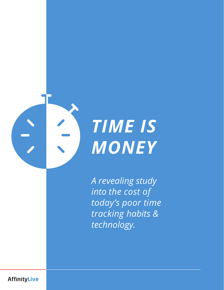



*A revealing study into the cost of today's poor time tracking habits & technology.*

**AffinityLive**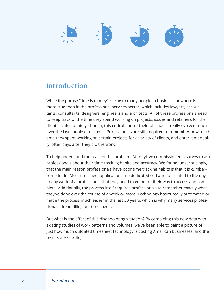# $\frac{1}{2}$

# **Introduction**

While the phrase "time is money" is true to many people in business, nowhere is it more true than in the professional services sector, which includes lawyers, accountants, consultants, designers, engineers and architects. All of these professionals need to keep track of the time they spend working on projects, issues and retainers for their clients. Unfortunately, though, this critical part of their jobs hasn't really evolved much over the last couple of decades. Professionals are still required to remember how much time they spent working on certain projects for a variety of clients, and enter it manually, often days after they did the work.

To help understand the scale of this problem, AffinityLive commissioned a survey to ask professionals about their time tracking habits and accuracy. We found, unsurprisingly, that the main reason professionals have poor time tracking habits is that it is cumbersome to do. Most timesheet applications are dedicated software unrelated to the day to day work of a professional that they need to go out of their way to access and complete. Additionally, the process itself requires professionals to remember exactly what they've done over the course of a week or more. Technology hasn't really automated or made the process much easier in the last 30 years, which is why many services professionals dread filling out timesheets.

But what is the effect of this disappointing situation? By combining this new data with existing studies of work patterns and volumes, we've been able to paint a picture of just how much outdated timesheet technology is costing American businesses, and the results are startling.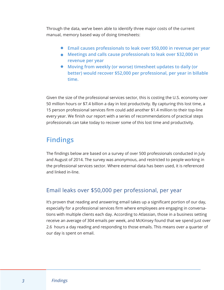Through the data, we've been able to identify three major costs of the current manual, memory based way of doing timesheets:

- **• Email causes professionals to leak over \$50,000 in revenue per year**
- **• Meetings and calls cause professionals to leak over \$32,000 in revenue per year**
- **• Moving from weekly (or worse) timesheet updates to daily (or better) would recover \$52,000 per professional, per year in billable time.**

Given the size of the professional services sector, this is costing the U.S. economy over 50 million hours or \$7.4 billion a day in lost productivity. By capturing this lost time, a 15 person professional services firm could add another \$1.4 million to their top-line every year. We finish our report with a series of recommendations of practical steps professionals can take today to recover some of this lost time and productivity.

# **Findings**

The findings below are based on a survey of over 500 professionals conducted in July and August of 2014. The survey was anonymous, and restricted to people working in the professional services sector. Where external data has been used, it is referenced and linked in-line.

# Email leaks over \$50,000 per professional, per year

It's proven that reading and answering email takes up a significant portion of our day, especially for a professional services firm where employees are engaging in conversations with multiple clients each day. According to Atlassian, those in a business setting receive an average of 304 emails per week, and McKinsey found that we spend just over 2.6 hours a day reading and responding to those emails. This means over a quarter of our day is spent on email.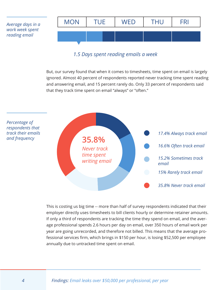*Average days in a work week spent reading email*



## *1.5 Days spent reading emails a week*

But, our survey found that when it comes to timesheets, time spent on email is largely ignored. Almost 40 percent of respondents reported never tracking time spent reading and answering email, and 15 percent rarely do. Only 33 percent of respondents said that they track time spent on email "always" or "often."



This is costing us big time -- more than half of survey respondents indicated that their employer directly uses timesheets to bill clients hourly or determine retainer amounts. If only a third of respondents are tracking the time they spend on email, and the average professional spends 2.6 hours per day on email, over 350 hours of email work per year are going unrecorded, and therefore not billed. This means that the average professional services firm, which brings in \$150 per hour, is losing \$52,500 per employee annually due to untracked time spent on email.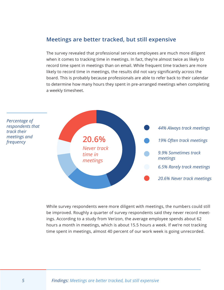# **Meetings are better tracked, but still expensive**

The survey revealed that professional services employees are much more diligent when it comes to tracking time in meetings. In fact, they're almost twice as likely to record time spent in meetings than on email. While frequent time trackers are more likely to record time in meetings, the results did not vary significantly across the board. This is probably because professionals are able to refer back to their calendar to determine how many hours they spent in pre-arranged meetings when completing a weekly timesheet.



While survey respondents were more diligent with meetings, the numbers could still be improved. Roughly a quarter of survey respondents said they never record meetings. According to a study from Verizon, the average employee spends about 62 hours a month in meetings, which is about 15.5 hours a week. If we're not tracking time spent in meetings, almost 40 percent of our work week is going unrecorded.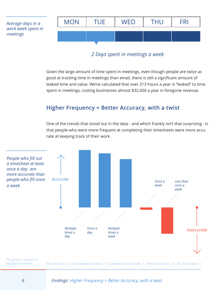

*2 Days spent in meetings a week*

Given the large amount of time spent in meetings, even though people are twice as good at tracking time in meetings than email, there is still a significant amount of leaked time and value. We've calculated that over 213 hours a year is "leaked" to time spent in meetings, costing businesses almost \$32,000 a year in foregone revenue.

# **Higher Frequency = Better Accuracy, with a twist**

One of the trends that stood out in the data - and which frankly isn't that surprising - is that people who were more frequent at completing their timesheets were more accurate at keeping track of their work.



*The graph is based on weighted numbers:*

*Very Accurate: 3 | Somewhat Accurate: 1 | Somewhat Inaccurate: -1 |Very Inaccurate: -3 | Do Not Track: -5*

#### *6 Findings: Higher Frequency = Better Accuracy, with a twist*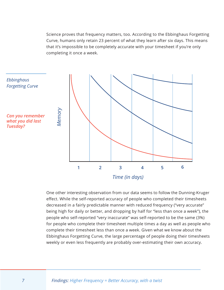Science proves that frequency matters, too. According to the Ebbinghaus Forgetting Curve, humans only retain 23 percent of what they learn after six days. This means that it's impossible to be completely accurate with your timesheet if you're only completing it once a week.



*Time (in days)*

One other interesting observation from our data seems to follow the Dunning-Kruger effect. While the self-reported accuracy of people who completed their timesheets decreased in a fairly predictable manner with reduced frequency ("very accurate" being high for daily or better, and dropping by half for "less than once a week"), the people who self-reported "very inaccurate" was self-reported to be the same (3%) for people who complete their timesheet multiple times a day as well as people who complete their timesheet less than once a week. Given what we know about the Ebbinghaus Forgetting Curve, the large percentage of people doing their timesheets weekly or even less frequently are probably over-estimating their own accuracy.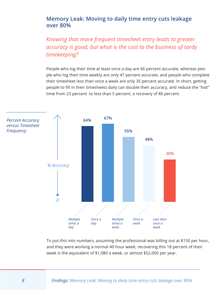# **Memory Leak: Moving to daily time entry cuts leakage over 80%**

*Knowing that more frequent timesheet entry leads to greater accuracy is good, but what is the cost to the business of tardy timekeeping?*

People who log their time at least once a day are 66 percent accurate, whereas people who log their time weekly are only 47 percent accurate, and people who complete their timesheet less than once a week are only 35 percent accurate. In short, getting people to fill in their timesheets daily can double their accuracy, and reduce the "lost" time from 23 percent to less than 5 percent, a recovery of 80 percent.



To put this into numbers, assuming the professional was billing out at \$150 per hour, and they were working a normal 40 hour week, recovering this 18 percent of their week is the equivalent of \$1,080 a week, or almost \$52,000 per year.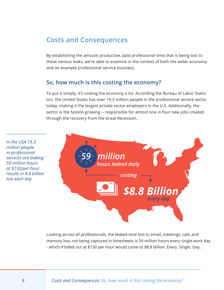# **Costs and Consequences**

By establishing the amount productive, paid professional time that is being lost to these various leaks, we're able to examine in the context of both the wider economy and an example professional service business.

#### **So, how much is this costing the economy?**

To put it simply, it's costing the economy a lot. According the Bureau of Labor Statistics, the United States has over 19.3 million people in the professional service sector today, making it the largest private sector employers in the U.S. Additionally, the sector is the fastest-growing -- responsible for almost one in four new jobs created through the recovery from the Great Recession.

*In the USA 19.3 million people in professional services are leaking 59 million hours at \$150/per hour results in 8.8 billion lost each day* **costing n** *costing every day 59 million hours leaked daily \$8.8 Billion*

> Looking across all professionals, the leaked time lost to email, meetings, calls and memory loss not being captured in timesheets is 59 million hours every single work day - which if billed out at \$150 per hour would come to \$8.8 billion. Every. Single. Day.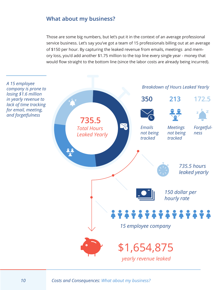## **What about my business?**

Those are some big numbers, but let's put it in the context of an average professional service business. Let's say you've got a team of 15 professionals billing out at an average of \$150 per hour. By capturing the leaked revenue from emails, meetings and memory loss, you'd add another \$1.75 million to the top line every single year - money that would flow straight to the bottom line (since the labor costs are already being incurred).

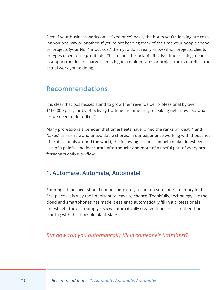Even if your business works on a "fixed price" basis, the hours you're leaking are costing you one way or another. If you're not keeping track of the time your people spend on projects (your No. 1 input cost) then you don't really know which projects, clients or types of work are profitable. This means the lack of effective time tracking means lost opportunities to charge clients higher retainer rates or project totals to reflect the actual work you're doing.

# **Recommendations**

It is clear that businesses stand to grow their revenue per professional by over \$100,000 per year by effectively tracking the time they're leaking right now - so what do we need to do to fix it?

Many professionals bemoan that timesheets have joined the ranks of "death" and "taxes" as horrible and unavoidable chores. In our experience working with thousands of professionals around the world, the following lessons can help make timesheets less of a painful and inaccurate afterthought and more of a useful part of every professional's daily workflow.

## **1. Automate, Automate, Automate!**

Entering a timesheet should not be completely reliant on someone's memory in the first place - it is way too important to leave to chance. Thankfully, technology like the cloud and smartphones has made it easier to automatically fill in a professional's timesheet - they can simply review automatically created time entries rather than starting with that horrible blank slate.

*But how can you automatically fill in someone's timesheet?*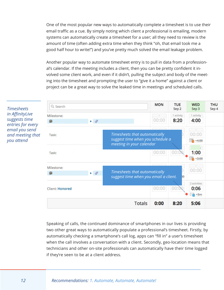One of the most popular new ways to automatically complete a timesheet is to use their email traffic as a cue. By simply noting which client a professional is emailing, modern systems can automatically create a timesheet for a user; all they need to review is the amount of time (often adding extra time when they think "oh, that email took me a good half hour to write!") and you've pretty much solved the email leakage problem.

Another popular way to automate timesheet entry is to pull in data from a professional's calendar. If the meeting includes a client, then you can be pretty confident it involved some client work, and even if it didn't, pulling the subject and body of the meeting into the timesheet and prompting the user to "give it a home" against a client or project can be a great way to solve the leaked time in meetings and scheduled calls.



Speaking of calls, the continued dominance of smartphones in our lives is providing two other great ways to automatically populate a professional's timesheet. Firstly, by automatically checking a smartphone's call log, apps can "fill in" a user's timesheet when the call involves a conversation with a client. Secondly, geo-location means that technicians and other on-site professionals can automatically have their time logged if they're seen to be at a client address.

*Timesheets in AffinityLive suggests time entries for every email you send and meeting that you attend*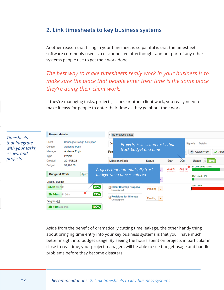## **2. Link timesheets to key business systems**

Another reason that filling in your timesheet is so painful is that the timesheet software commonly used is a disconnected afterthought and not part of any other systems people use to get their work done.

*The best way to make timesheets really work in your business is to make sure the place that people enter their time is the same place they're doing their client work.* 

If they're managing tasks, projects, issues or other client work, you really need to make it easy for people to enter their time as they go about their work.



Aside from the benefit of dramatically cutting time leakage, the other handy thing about bringing time entry into your key business systems is that you'll have much better insight into budget usage. By seeing the hours spent on projects in particular in close to real time, your project managers will be able to see budget usage and handle problems before they become disasters.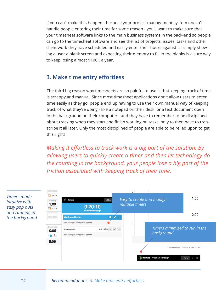If you can't make this happen - because your project management system doesn't handle people entering their time for some reason - you'll want to make sure that your timesheet software links to the main business systems in the back-end so people can go to the timesheet software and see the list of projects, issues, tasks and other client work they have scheduled and easily enter their hours against it - simply showing a user a blank screen and expecting their memory to fill in the blanks is a sure way to keep losing almost \$100K a year.

# **3. Make time entry effortless**

The third big reason why timesheets are so painful to use is that keeping track of time is scrappy and manual. Since most timesheet applications don't allow users to enter time easily as they go, people end up having to use their own manual way of keeping track of what they're doing - like a notepad on their desk, or a text document open in the background on their computer - and they have to remember to be disciplined about tracking when they start and finish working on tasks, only to then have to transcribe it all later. Only the most disciplined of people are able to be relied upon to get this right!

*Making it effortless to track work is a big part of the solution. By allowing users to quickly create a timer and then let technology do the counting in the background, your people lose a big part of the friction associated with keeping track of their time.*





## *14 Recommendations: 3. Make time entry effortless*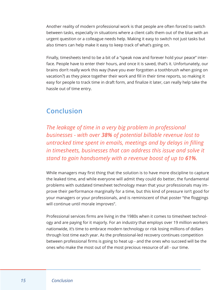Another reality of modern professional work is that people are often forced to switch between tasks, especially in situations where a client calls them out of the blue with an urgent question or a colleague needs help. Making it easy to switch not just tasks but also timers can help make it easy to keep track of what's going on.

Finally, timesheets tend to be a bit of a "speak now and forever hold your peace" interface. People have to enter their hours, and once it is saved, that's it. Unfortunately, our brains don't really work this way (have you ever forgotten a toothbrush when going on vacation?) as they piece together their work and fill in their time reports, so making it easy for people to track time in draft form, and finalize it later, can really help take the hassle out of time entry.

# **Conclusion**

*The leakage of time in a very big problem in professional businesses - with over 38% of potential billable revenue lost to untracked time spent in emails, meetings and by delays in filling in timesheets, businesses that can address this issue and solve it stand to gain handsomely with a revenue boost of up to 61%.* 

While managers may first thing that the solution is to have more discipline to capture the leaked time, and while everyone will admit they could do better, the fundamental problems with outdated timesheet technology mean that your professionals may improve their performance marginally for a time, but this kind of pressure isn't good for your managers or your professionals, and is reminiscent of that poster "the floggings will continue until morale improves".

Professional services firms are living in the 1980s when it comes to timesheet technology and are paying for it majorly. For an industry that employs over 19 million workers nationwide, it's time to embrace modern technology or risk losing millions of dollars through lost time each year. As the professional-led recovery continues competition between professional firms is going to heat up - and the ones who succeed will be the ones who make the most out of the most precious resource of all - our time.